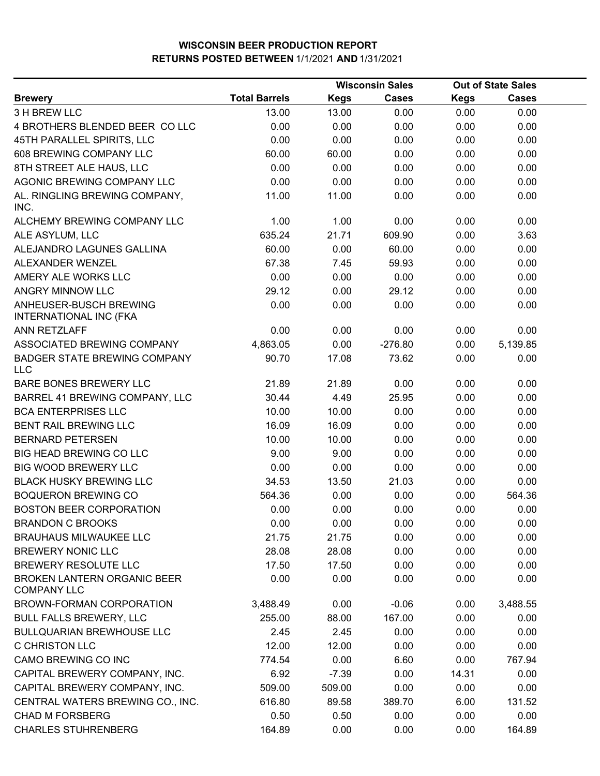|                                                          |                      | <b>Wisconsin Sales</b> |              |             | <b>Out of State Sales</b> |  |
|----------------------------------------------------------|----------------------|------------------------|--------------|-------------|---------------------------|--|
| <b>Brewery</b>                                           | <b>Total Barrels</b> | <b>Kegs</b>            | <b>Cases</b> | <b>Kegs</b> | <b>Cases</b>              |  |
| 3 H BREW LLC                                             | 13.00                | 13.00                  | 0.00         | 0.00        | 0.00                      |  |
| 4 BROTHERS BLENDED BEER COLLC                            | 0.00                 | 0.00                   | 0.00         | 0.00        | 0.00                      |  |
| 45TH PARALLEL SPIRITS, LLC                               | 0.00                 | 0.00                   | 0.00         | 0.00        | 0.00                      |  |
| 608 BREWING COMPANY LLC                                  | 60.00                | 60.00                  | 0.00         | 0.00        | 0.00                      |  |
| 8TH STREET ALE HAUS, LLC                                 | 0.00                 | 0.00                   | 0.00         | 0.00        | 0.00                      |  |
| AGONIC BREWING COMPANY LLC                               | 0.00                 | 0.00                   | 0.00         | 0.00        | 0.00                      |  |
| AL. RINGLING BREWING COMPANY,<br>INC.                    | 11.00                | 11.00                  | 0.00         | 0.00        | 0.00                      |  |
| ALCHEMY BREWING COMPANY LLC                              | 1.00                 | 1.00                   | 0.00         | 0.00        | 0.00                      |  |
| ALE ASYLUM, LLC                                          | 635.24               | 21.71                  | 609.90       | 0.00        | 3.63                      |  |
| ALEJANDRO LAGUNES GALLINA                                | 60.00                | 0.00                   | 60.00        | 0.00        | 0.00                      |  |
| ALEXANDER WENZEL                                         | 67.38                | 7.45                   | 59.93        | 0.00        | 0.00                      |  |
| AMERY ALE WORKS LLC                                      | 0.00                 | 0.00                   | 0.00         | 0.00        | 0.00                      |  |
| ANGRY MINNOW LLC                                         | 29.12                | 0.00                   | 29.12        | 0.00        | 0.00                      |  |
| ANHEUSER-BUSCH BREWING<br>INTERNATIONAL INC (FKA         | 0.00                 | 0.00                   | 0.00         | 0.00        | 0.00                      |  |
| ANN RETZLAFF                                             | 0.00                 | 0.00                   | 0.00         | 0.00        | 0.00                      |  |
| ASSOCIATED BREWING COMPANY                               | 4,863.05             | 0.00                   | $-276.80$    | 0.00        | 5,139.85                  |  |
| <b>BADGER STATE BREWING COMPANY</b><br><b>LLC</b>        | 90.70                | 17.08                  | 73.62        | 0.00        | 0.00                      |  |
| BARE BONES BREWERY LLC                                   | 21.89                | 21.89                  | 0.00         | 0.00        | 0.00                      |  |
| BARREL 41 BREWING COMPANY, LLC                           | 30.44                | 4.49                   | 25.95        | 0.00        | 0.00                      |  |
| <b>BCA ENTERPRISES LLC</b>                               | 10.00                | 10.00                  | 0.00         | 0.00        | 0.00                      |  |
| <b>BENT RAIL BREWING LLC</b>                             | 16.09                | 16.09                  | 0.00         | 0.00        | 0.00                      |  |
| <b>BERNARD PETERSEN</b>                                  | 10.00                | 10.00                  | 0.00         | 0.00        | 0.00                      |  |
| <b>BIG HEAD BREWING CO LLC</b>                           | 9.00                 | 9.00                   | 0.00         | 0.00        | 0.00                      |  |
| <b>BIG WOOD BREWERY LLC</b>                              | 0.00                 | 0.00                   | 0.00         | 0.00        | 0.00                      |  |
| <b>BLACK HUSKY BREWING LLC</b>                           | 34.53                | 13.50                  | 21.03        | 0.00        | 0.00                      |  |
| <b>BOQUERON BREWING CO</b>                               | 564.36               | 0.00                   | 0.00         | 0.00        | 564.36                    |  |
| <b>BOSTON BEER CORPORATION</b>                           | 0.00                 | 0.00                   | 0.00         | 0.00        | 0.00                      |  |
| <b>BRANDON C BROOKS</b>                                  | 0.00                 | 0.00                   | 0.00         | 0.00        | 0.00                      |  |
| <b>BRAUHAUS MILWAUKEE LLC</b>                            | 21.75                | 21.75                  | 0.00         | 0.00        | 0.00                      |  |
| <b>BREWERY NONIC LLC</b>                                 | 28.08                | 28.08                  | 0.00         | 0.00        | 0.00                      |  |
| BREWERY RESOLUTE LLC                                     | 17.50                | 17.50                  | 0.00         | 0.00        | 0.00                      |  |
| <b>BROKEN LANTERN ORGANIC BEER</b><br><b>COMPANY LLC</b> | 0.00                 | 0.00                   | 0.00         | 0.00        | 0.00                      |  |
| BROWN-FORMAN CORPORATION                                 | 3,488.49             | 0.00                   | $-0.06$      | 0.00        | 3,488.55                  |  |
| <b>BULL FALLS BREWERY, LLC</b>                           | 255.00               | 88.00                  | 167.00       | 0.00        | 0.00                      |  |
| <b>BULLQUARIAN BREWHOUSE LLC</b>                         | 2.45                 | 2.45                   | 0.00         | 0.00        | 0.00                      |  |
| <b>C CHRISTON LLC</b>                                    | 12.00                | 12.00                  | 0.00         | 0.00        | 0.00                      |  |
| CAMO BREWING CO INC                                      | 774.54               | 0.00                   | 6.60         | 0.00        | 767.94                    |  |
| CAPITAL BREWERY COMPANY, INC.                            | 6.92                 | $-7.39$                | 0.00         | 14.31       | 0.00                      |  |
| CAPITAL BREWERY COMPANY, INC.                            | 509.00               | 509.00                 | 0.00         | 0.00        | 0.00                      |  |
| CENTRAL WATERS BREWING CO., INC.                         | 616.80               | 89.58                  | 389.70       | 6.00        | 131.52                    |  |
| <b>CHAD M FORSBERG</b>                                   | 0.50                 | 0.50                   | 0.00         | 0.00        | 0.00                      |  |
| <b>CHARLES STUHRENBERG</b>                               | 164.89               | 0.00                   | 0.00         | 0.00        | 164.89                    |  |
|                                                          |                      |                        |              |             |                           |  |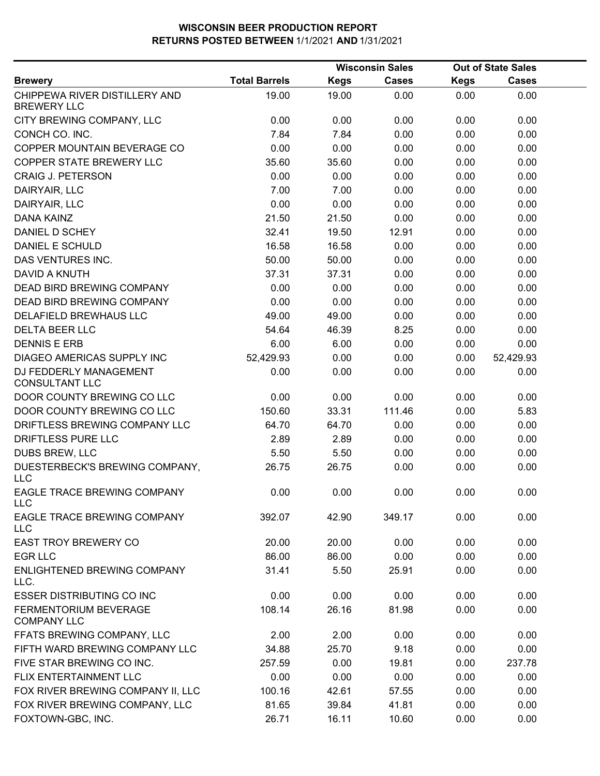|                                                     |                      |             | <b>Wisconsin Sales</b> |             | <b>Out of State Sales</b> |  |
|-----------------------------------------------------|----------------------|-------------|------------------------|-------------|---------------------------|--|
| <b>Brewery</b>                                      | <b>Total Barrels</b> | <b>Kegs</b> | <b>Cases</b>           | <b>Kegs</b> | <b>Cases</b>              |  |
| CHIPPEWA RIVER DISTILLERY AND<br><b>BREWERY LLC</b> | 19.00                | 19.00       | 0.00                   | 0.00        | 0.00                      |  |
| CITY BREWING COMPANY, LLC                           | 0.00                 | 0.00        | 0.00                   | 0.00        | 0.00                      |  |
| CONCH CO. INC.                                      | 7.84                 | 7.84        | 0.00                   | 0.00        | 0.00                      |  |
| COPPER MOUNTAIN BEVERAGE CO                         | 0.00                 | 0.00        | 0.00                   | 0.00        | 0.00                      |  |
| <b>COPPER STATE BREWERY LLC</b>                     | 35.60                | 35.60       | 0.00                   | 0.00        | 0.00                      |  |
| <b>CRAIG J. PETERSON</b>                            | 0.00                 | 0.00        | 0.00                   | 0.00        | 0.00                      |  |
| DAIRYAIR, LLC                                       | 7.00                 | 7.00        | 0.00                   | 0.00        | 0.00                      |  |
| DAIRYAIR, LLC                                       | 0.00                 | 0.00        | 0.00                   | 0.00        | 0.00                      |  |
| <b>DANA KAINZ</b>                                   | 21.50                | 21.50       | 0.00                   | 0.00        | 0.00                      |  |
| DANIEL D SCHEY                                      | 32.41                | 19.50       | 12.91                  | 0.00        | 0.00                      |  |
| <b>DANIEL E SCHULD</b>                              | 16.58                | 16.58       | 0.00                   | 0.00        | 0.00                      |  |
| <b>DAS VENTURES INC.</b>                            | 50.00                | 50.00       | 0.00                   | 0.00        | 0.00                      |  |
| DAVID A KNUTH                                       | 37.31                | 37.31       | 0.00                   | 0.00        | 0.00                      |  |
| <b>DEAD BIRD BREWING COMPANY</b>                    | 0.00                 | 0.00        | 0.00                   | 0.00        | 0.00                      |  |
| DEAD BIRD BREWING COMPANY                           | 0.00                 | 0.00        | 0.00                   | 0.00        | 0.00                      |  |
| DELAFIELD BREWHAUS LLC                              | 49.00                | 49.00       | 0.00                   | 0.00        | 0.00                      |  |
| <b>DELTA BEER LLC</b>                               | 54.64                | 46.39       | 8.25                   | 0.00        | 0.00                      |  |
| <b>DENNIS E ERB</b>                                 | 6.00                 | 6.00        | 0.00                   | 0.00        | 0.00                      |  |
| DIAGEO AMERICAS SUPPLY INC                          | 52,429.93            | 0.00        | 0.00                   | 0.00        | 52,429.93                 |  |
| DJ FEDDERLY MANAGEMENT<br><b>CONSULTANT LLC</b>     | 0.00                 | 0.00        | 0.00                   | 0.00        | 0.00                      |  |
| DOOR COUNTY BREWING CO LLC                          | 0.00                 | 0.00        | 0.00                   | 0.00        | 0.00                      |  |
| DOOR COUNTY BREWING CO LLC                          | 150.60               | 33.31       | 111.46                 | 0.00        | 5.83                      |  |
| DRIFTLESS BREWING COMPANY LLC                       | 64.70                | 64.70       | 0.00                   | 0.00        | 0.00                      |  |
| DRIFTLESS PURE LLC                                  | 2.89                 | 2.89        | 0.00                   | 0.00        | 0.00                      |  |
| DUBS BREW, LLC                                      | 5.50                 | 5.50        | 0.00                   | 0.00        | 0.00                      |  |
| DUESTERBECK'S BREWING COMPANY,<br><b>LLC</b>        | 26.75                | 26.75       | 0.00                   | 0.00        | 0.00                      |  |
| EAGLE TRACE BREWING COMPANY<br><b>LLC</b>           | 0.00                 | 0.00        | 0.00                   | 0.00        | 0.00                      |  |
| EAGLE TRACE BREWING COMPANY<br><b>LLC</b>           | 392.07               | 42.90       | 349.17                 | 0.00        | 0.00                      |  |
| <b>EAST TROY BREWERY CO</b>                         | 20.00                | 20.00       | 0.00                   | 0.00        | 0.00                      |  |
| <b>EGR LLC</b>                                      | 86.00                | 86.00       | 0.00                   | 0.00        | 0.00                      |  |
| ENLIGHTENED BREWING COMPANY<br>LLC.                 | 31.41                | 5.50        | 25.91                  | 0.00        | 0.00                      |  |
| <b>ESSER DISTRIBUTING CO INC</b>                    | 0.00                 | 0.00        | 0.00                   | 0.00        | 0.00                      |  |
| FERMENTORIUM BEVERAGE<br><b>COMPANY LLC</b>         | 108.14               | 26.16       | 81.98                  | 0.00        | 0.00                      |  |
| FFATS BREWING COMPANY, LLC                          | 2.00                 | 2.00        | 0.00                   | 0.00        | 0.00                      |  |
| FIFTH WARD BREWING COMPANY LLC                      | 34.88                | 25.70       | 9.18                   | 0.00        | 0.00                      |  |
| FIVE STAR BREWING CO INC.                           | 257.59               | 0.00        | 19.81                  | 0.00        | 237.78                    |  |
| FLIX ENTERTAINMENT LLC                              | 0.00                 | 0.00        | 0.00                   | 0.00        | 0.00                      |  |
| FOX RIVER BREWING COMPANY II, LLC                   | 100.16               | 42.61       | 57.55                  | 0.00        | 0.00                      |  |
| FOX RIVER BREWING COMPANY, LLC                      | 81.65                | 39.84       | 41.81                  | 0.00        | 0.00                      |  |
| FOXTOWN-GBC, INC.                                   | 26.71                | 16.11       | 10.60                  | 0.00        | 0.00                      |  |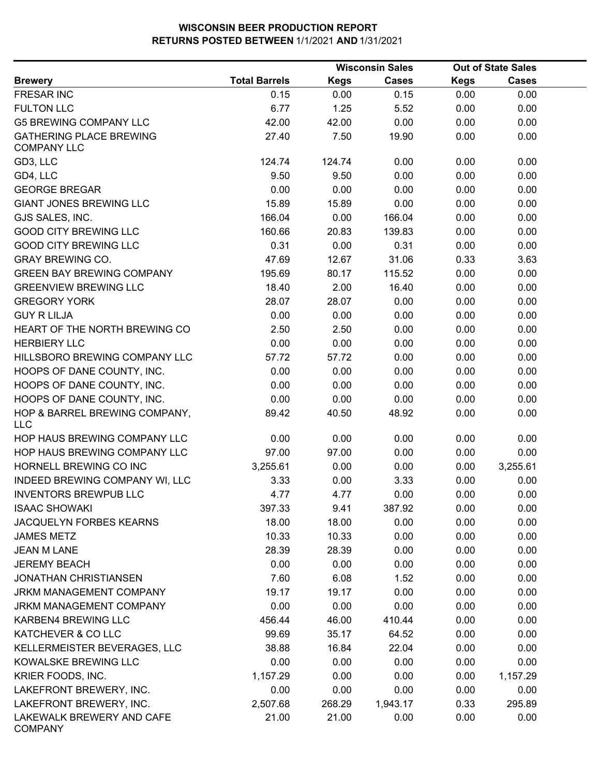|                                                      |                      |             | <b>Wisconsin Sales</b> |             | <b>Out of State Sales</b> |  |
|------------------------------------------------------|----------------------|-------------|------------------------|-------------|---------------------------|--|
| <b>Brewery</b>                                       | <b>Total Barrels</b> | <b>Kegs</b> | <b>Cases</b>           | <b>Kegs</b> | <b>Cases</b>              |  |
| <b>FRESAR INC</b>                                    | 0.15                 | 0.00        | 0.15                   | 0.00        | 0.00                      |  |
| <b>FULTON LLC</b>                                    | 6.77                 | 1.25        | 5.52                   | 0.00        | 0.00                      |  |
| <b>G5 BREWING COMPANY LLC</b>                        | 42.00                | 42.00       | 0.00                   | 0.00        | 0.00                      |  |
| <b>GATHERING PLACE BREWING</b><br><b>COMPANY LLC</b> | 27.40                | 7.50        | 19.90                  | 0.00        | 0.00                      |  |
| GD3, LLC                                             | 124.74               | 124.74      | 0.00                   | 0.00        | 0.00                      |  |
| GD4, LLC                                             | 9.50                 | 9.50        | 0.00                   | 0.00        | 0.00                      |  |
| <b>GEORGE BREGAR</b>                                 | 0.00                 | 0.00        | 0.00                   | 0.00        | 0.00                      |  |
| <b>GIANT JONES BREWING LLC</b>                       | 15.89                | 15.89       | 0.00                   | 0.00        | 0.00                      |  |
| GJS SALES, INC.                                      | 166.04               | 0.00        | 166.04                 | 0.00        | 0.00                      |  |
| <b>GOOD CITY BREWING LLC</b>                         | 160.66               | 20.83       | 139.83                 | 0.00        | 0.00                      |  |
| <b>GOOD CITY BREWING LLC</b>                         | 0.31                 | 0.00        | 0.31                   | 0.00        | 0.00                      |  |
| <b>GRAY BREWING CO.</b>                              | 47.69                | 12.67       | 31.06                  | 0.33        | 3.63                      |  |
| <b>GREEN BAY BREWING COMPANY</b>                     | 195.69               | 80.17       | 115.52                 | 0.00        | 0.00                      |  |
| <b>GREENVIEW BREWING LLC</b>                         | 18.40                | 2.00        | 16.40                  | 0.00        | 0.00                      |  |
| <b>GREGORY YORK</b>                                  | 28.07                | 28.07       | 0.00                   | 0.00        | 0.00                      |  |
| <b>GUY R LILJA</b>                                   | 0.00                 | 0.00        | 0.00                   | 0.00        | 0.00                      |  |
| HEART OF THE NORTH BREWING CO                        | 2.50                 | 2.50        | 0.00                   | 0.00        | 0.00                      |  |
| <b>HERBIERY LLC</b>                                  | 0.00                 | 0.00        | 0.00                   | 0.00        | 0.00                      |  |
| HILLSBORO BREWING COMPANY LLC                        | 57.72                | 57.72       | 0.00                   | 0.00        | 0.00                      |  |
| HOOPS OF DANE COUNTY, INC.                           | 0.00                 | 0.00        | 0.00                   | 0.00        | 0.00                      |  |
| HOOPS OF DANE COUNTY, INC.                           | 0.00                 | 0.00        | 0.00                   | 0.00        | 0.00                      |  |
| HOOPS OF DANE COUNTY, INC.                           | 0.00                 | 0.00        | 0.00                   | 0.00        | 0.00                      |  |
| HOP & BARREL BREWING COMPANY,<br><b>LLC</b>          | 89.42                | 40.50       | 48.92                  | 0.00        | 0.00                      |  |
| HOP HAUS BREWING COMPANY LLC                         | 0.00                 | 0.00        | 0.00                   | 0.00        | 0.00                      |  |
| HOP HAUS BREWING COMPANY LLC                         | 97.00                | 97.00       | 0.00                   | 0.00        | 0.00                      |  |
| HORNELL BREWING CO INC                               | 3,255.61             | 0.00        | 0.00                   | 0.00        | 3,255.61                  |  |
| INDEED BREWING COMPANY WI, LLC                       | 3.33                 | 0.00        | 3.33                   | 0.00        | 0.00                      |  |
| <b>INVENTORS BREWPUB LLC</b>                         | 4.77                 | 4.77        | 0.00                   | 0.00        | 0.00                      |  |
| <b>ISAAC SHOWAKI</b>                                 | 397.33               | 9.41        | 387.92                 | 0.00        | 0.00                      |  |
| JACQUELYN FORBES KEARNS                              | 18.00                | 18.00       | 0.00                   | 0.00        | 0.00                      |  |
| <b>JAMES METZ</b>                                    | 10.33                | 10.33       | 0.00                   | 0.00        | 0.00                      |  |
| <b>JEAN M LANE</b>                                   | 28.39                | 28.39       | 0.00                   | 0.00        | 0.00                      |  |
| <b>JEREMY BEACH</b>                                  | 0.00                 | 0.00        | 0.00                   | 0.00        | 0.00                      |  |
| <b>JONATHAN CHRISTIANSEN</b>                         | 7.60                 | 6.08        | 1.52                   | 0.00        | 0.00                      |  |
| <b>JRKM MANAGEMENT COMPANY</b>                       | 19.17                | 19.17       | 0.00                   | 0.00        | 0.00                      |  |
| JRKM MANAGEMENT COMPANY                              | 0.00                 | 0.00        | 0.00                   | 0.00        | 0.00                      |  |
| KARBEN4 BREWING LLC                                  | 456.44               | 46.00       | 410.44                 | 0.00        | 0.00                      |  |
| KATCHEVER & CO LLC                                   | 99.69                | 35.17       | 64.52                  | 0.00        | 0.00                      |  |
| KELLERMEISTER BEVERAGES, LLC                         | 38.88                | 16.84       | 22.04                  | 0.00        | 0.00                      |  |
| KOWALSKE BREWING LLC                                 | 0.00                 | 0.00        | 0.00                   | 0.00        | 0.00                      |  |
| KRIER FOODS, INC.                                    | 1,157.29             | 0.00        | 0.00                   | 0.00        | 1,157.29                  |  |
| LAKEFRONT BREWERY, INC.                              | 0.00                 | 0.00        | 0.00                   | 0.00        | 0.00                      |  |
| LAKEFRONT BREWERY, INC.                              | 2,507.68             | 268.29      | 1,943.17               | 0.33        | 295.89                    |  |
| LAKEWALK BREWERY AND CAFE<br><b>COMPANY</b>          | 21.00                | 21.00       | 0.00                   | 0.00        | 0.00                      |  |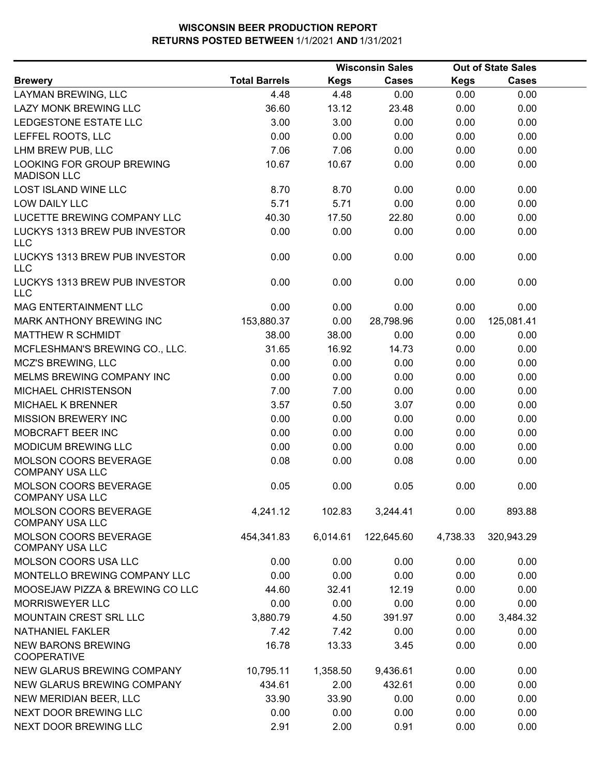|                                                        |                      |             | <b>Wisconsin Sales</b> |             | <b>Out of State Sales</b> |  |
|--------------------------------------------------------|----------------------|-------------|------------------------|-------------|---------------------------|--|
| <b>Brewery</b>                                         | <b>Total Barrels</b> | <b>Kegs</b> | <b>Cases</b>           | <b>Kegs</b> | <b>Cases</b>              |  |
| LAYMAN BREWING, LLC                                    | 4.48                 | 4.48        | 0.00                   | 0.00        | 0.00                      |  |
| LAZY MONK BREWING LLC                                  | 36.60                | 13.12       | 23.48                  | 0.00        | 0.00                      |  |
| LEDGESTONE ESTATE LLC                                  | 3.00                 | 3.00        | 0.00                   | 0.00        | 0.00                      |  |
| LEFFEL ROOTS, LLC                                      | 0.00                 | 0.00        | 0.00                   | 0.00        | 0.00                      |  |
| LHM BREW PUB, LLC                                      | 7.06                 | 7.06        | 0.00                   | 0.00        | 0.00                      |  |
| LOOKING FOR GROUP BREWING<br><b>MADISON LLC</b>        | 10.67                | 10.67       | 0.00                   | 0.00        | 0.00                      |  |
| <b>LOST ISLAND WINE LLC</b>                            | 8.70                 | 8.70        | 0.00                   | 0.00        | 0.00                      |  |
| LOW DAILY LLC                                          | 5.71                 | 5.71        | 0.00                   | 0.00        | 0.00                      |  |
| LUCETTE BREWING COMPANY LLC                            | 40.30                | 17.50       | 22.80                  | 0.00        | 0.00                      |  |
| LUCKYS 1313 BREW PUB INVESTOR<br><b>LLC</b>            | 0.00                 | 0.00        | 0.00                   | 0.00        | 0.00                      |  |
| LUCKYS 1313 BREW PUB INVESTOR<br><b>LLC</b>            | 0.00                 | 0.00        | 0.00                   | 0.00        | 0.00                      |  |
| LUCKYS 1313 BREW PUB INVESTOR<br><b>LLC</b>            | 0.00                 | 0.00        | 0.00                   | 0.00        | 0.00                      |  |
| MAG ENTERTAINMENT LLC                                  | 0.00                 | 0.00        | 0.00                   | 0.00        | 0.00                      |  |
| <b>MARK ANTHONY BREWING INC</b>                        | 153,880.37           | 0.00        | 28,798.96              | 0.00        | 125,081.41                |  |
| MATTHEW R SCHMIDT                                      | 38.00                | 38.00       | 0.00                   | 0.00        | 0.00                      |  |
| MCFLESHMAN'S BREWING CO., LLC.                         | 31.65                | 16.92       | 14.73                  | 0.00        | 0.00                      |  |
| <b>MCZ'S BREWING, LLC</b>                              | 0.00                 | 0.00        | 0.00                   | 0.00        | 0.00                      |  |
| MELMS BREWING COMPANY INC                              | 0.00                 | 0.00        | 0.00                   | 0.00        | 0.00                      |  |
| MICHAEL CHRISTENSON                                    | 7.00                 | 7.00        | 0.00                   | 0.00        | 0.00                      |  |
| <b>MICHAEL K BRENNER</b>                               | 3.57                 | 0.50        | 3.07                   | 0.00        | 0.00                      |  |
| <b>MISSION BREWERY INC</b>                             | 0.00                 | 0.00        | 0.00                   | 0.00        | 0.00                      |  |
| MOBCRAFT BEER INC                                      | 0.00                 | 0.00        | 0.00                   | 0.00        | 0.00                      |  |
| MODICUM BREWING LLC                                    | 0.00                 | 0.00        | 0.00                   | 0.00        | 0.00                      |  |
| MOLSON COORS BEVERAGE<br><b>COMPANY USA LLC</b>        | 0.08                 | 0.00        | 0.08                   | 0.00        | 0.00                      |  |
| <b>MOLSON COORS BEVERAGE</b><br><b>COMPANY USA LLC</b> | 0.05                 | 0.00        | 0.05                   | 0.00        | 0.00                      |  |
| <b>MOLSON COORS BEVERAGE</b><br><b>COMPANY USA LLC</b> | 4,241.12             | 102.83      | 3,244.41               | 0.00        | 893.88                    |  |
| MOLSON COORS BEVERAGE<br><b>COMPANY USA LLC</b>        | 454,341.83           | 6,014.61    | 122,645.60             | 4,738.33    | 320,943.29                |  |
| MOLSON COORS USA LLC                                   | 0.00                 | 0.00        | 0.00                   | 0.00        | 0.00                      |  |
| MONTELLO BREWING COMPANY LLC                           | 0.00                 | 0.00        | 0.00                   | 0.00        | 0.00                      |  |
| MOOSEJAW PIZZA & BREWING CO LLC                        | 44.60                | 32.41       | 12.19                  | 0.00        | 0.00                      |  |
| <b>MORRISWEYER LLC</b>                                 | 0.00                 | 0.00        | 0.00                   | 0.00        | 0.00                      |  |
| MOUNTAIN CREST SRL LLC                                 | 3,880.79             | 4.50        | 391.97                 | 0.00        | 3,484.32                  |  |
| <b>NATHANIEL FAKLER</b>                                | 7.42                 | 7.42        | 0.00                   | 0.00        | 0.00                      |  |
| <b>NEW BARONS BREWING</b><br><b>COOPERATIVE</b>        | 16.78                | 13.33       | 3.45                   | 0.00        | 0.00                      |  |
| NEW GLARUS BREWING COMPANY                             | 10,795.11            | 1,358.50    | 9,436.61               | 0.00        | 0.00                      |  |
| NEW GLARUS BREWING COMPANY                             | 434.61               | 2.00        | 432.61                 | 0.00        | 0.00                      |  |
| NEW MERIDIAN BEER, LLC                                 | 33.90                | 33.90       | 0.00                   | 0.00        | 0.00                      |  |
| NEXT DOOR BREWING LLC                                  | 0.00                 | 0.00        | 0.00                   | 0.00        | 0.00                      |  |
| NEXT DOOR BREWING LLC                                  | 2.91                 | 2.00        | 0.91                   | 0.00        | 0.00                      |  |
|                                                        |                      |             |                        |             |                           |  |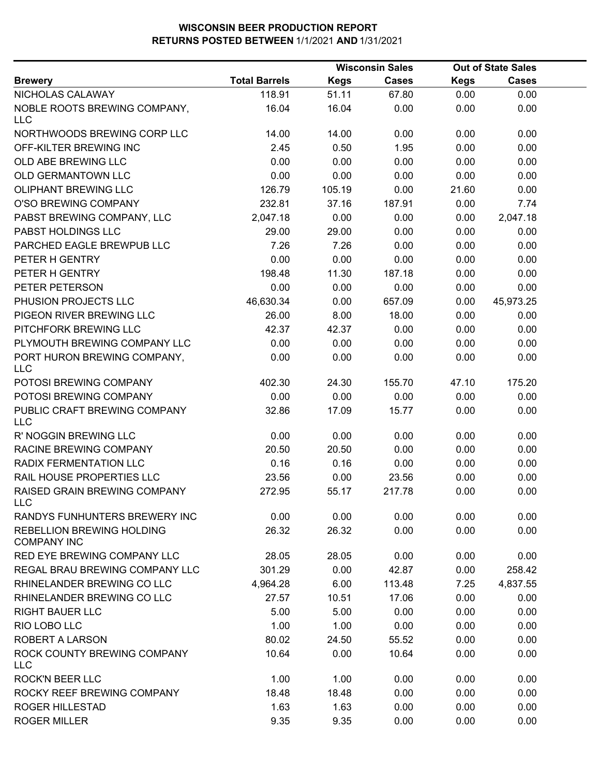|                                                        |                      |             | <b>Wisconsin Sales</b> | <b>Out of State Sales</b> |              |  |  |
|--------------------------------------------------------|----------------------|-------------|------------------------|---------------------------|--------------|--|--|
| <b>Brewery</b>                                         | <b>Total Barrels</b> | <b>Kegs</b> | <b>Cases</b>           | Kegs                      | <b>Cases</b> |  |  |
| NICHOLAS CALAWAY                                       | 118.91               | 51.11       | 67.80                  | 0.00                      | 0.00         |  |  |
| NOBLE ROOTS BREWING COMPANY,<br>LLC                    | 16.04                | 16.04       | 0.00                   | 0.00                      | 0.00         |  |  |
| NORTHWOODS BREWING CORP LLC                            | 14.00                | 14.00       | 0.00                   | 0.00                      | 0.00         |  |  |
| OFF-KILTER BREWING INC                                 | 2.45                 | 0.50        | 1.95                   | 0.00                      | 0.00         |  |  |
| OLD ABE BREWING LLC                                    | 0.00                 | 0.00        | 0.00                   | 0.00                      | 0.00         |  |  |
| OLD GERMANTOWN LLC                                     | 0.00                 | 0.00        | 0.00                   | 0.00                      | 0.00         |  |  |
| OLIPHANT BREWING LLC                                   | 126.79               | 105.19      | 0.00                   | 21.60                     | 0.00         |  |  |
| O'SO BREWING COMPANY                                   | 232.81               | 37.16       | 187.91                 | 0.00                      | 7.74         |  |  |
| PABST BREWING COMPANY, LLC                             | 2,047.18             | 0.00        | 0.00                   | 0.00                      | 2,047.18     |  |  |
| PABST HOLDINGS LLC                                     | 29.00                | 29.00       | 0.00                   | 0.00                      | 0.00         |  |  |
| PARCHED EAGLE BREWPUB LLC                              | 7.26                 | 7.26        | 0.00                   | 0.00                      | 0.00         |  |  |
| PETER H GENTRY                                         | 0.00                 | 0.00        | 0.00                   | 0.00                      | 0.00         |  |  |
| PETER H GENTRY                                         | 198.48               | 11.30       | 187.18                 | 0.00                      | 0.00         |  |  |
| PETER PETERSON                                         | 0.00                 | 0.00        | 0.00                   | 0.00                      | 0.00         |  |  |
| PHUSION PROJECTS LLC                                   | 46,630.34            | 0.00        | 657.09                 | 0.00                      | 45,973.25    |  |  |
| PIGEON RIVER BREWING LLC                               | 26.00                | 8.00        | 18.00                  | 0.00                      | 0.00         |  |  |
| PITCHFORK BREWING LLC                                  | 42.37                | 42.37       | 0.00                   | 0.00                      | 0.00         |  |  |
| PLYMOUTH BREWING COMPANY LLC                           | 0.00                 | 0.00        | 0.00                   | 0.00                      | 0.00         |  |  |
| PORT HURON BREWING COMPANY,<br><b>LLC</b>              | 0.00                 | 0.00        | 0.00                   | 0.00                      | 0.00         |  |  |
| POTOSI BREWING COMPANY                                 | 402.30               | 24.30       | 155.70                 | 47.10                     | 175.20       |  |  |
| POTOSI BREWING COMPANY                                 | 0.00                 | 0.00        | 0.00                   | 0.00                      | 0.00         |  |  |
| PUBLIC CRAFT BREWING COMPANY<br><b>LLC</b>             | 32.86                | 17.09       | 15.77                  | 0.00                      | 0.00         |  |  |
| R' NOGGIN BREWING LLC                                  | 0.00                 | 0.00        | 0.00                   | 0.00                      | 0.00         |  |  |
| RACINE BREWING COMPANY                                 | 20.50                | 20.50       | 0.00                   | 0.00                      | 0.00         |  |  |
| RADIX FERMENTATION LLC                                 | 0.16                 | 0.16        | 0.00                   | 0.00                      | 0.00         |  |  |
| RAIL HOUSE PROPERTIES LLC                              | 23.56                | 0.00        | 23.56                  | 0.00                      | 0.00         |  |  |
| RAISED GRAIN BREWING COMPANY<br>LLC                    | 272.95               | 55.17       | 217.78                 | 0.00                      | 0.00         |  |  |
| RANDYS FUNHUNTERS BREWERY INC                          | 0.00                 | 0.00        | 0.00                   | 0.00                      | 0.00         |  |  |
| <b>REBELLION BREWING HOLDING</b><br><b>COMPANY INC</b> | 26.32                | 26.32       | 0.00                   | 0.00                      | 0.00         |  |  |
| RED EYE BREWING COMPANY LLC                            | 28.05                | 28.05       | 0.00                   | 0.00                      | 0.00         |  |  |
| REGAL BRAU BREWING COMPANY LLC                         | 301.29               | 0.00        | 42.87                  | 0.00                      | 258.42       |  |  |
| RHINELANDER BREWING CO LLC                             | 4,964.28             | 6.00        | 113.48                 | 7.25                      | 4,837.55     |  |  |
| RHINELANDER BREWING CO LLC                             | 27.57                | 10.51       | 17.06                  | 0.00                      | 0.00         |  |  |
| <b>RIGHT BAUER LLC</b>                                 | 5.00                 | 5.00        | 0.00                   | 0.00                      | 0.00         |  |  |
| RIO LOBO LLC                                           | 1.00                 | 1.00        | 0.00                   | 0.00                      | 0.00         |  |  |
| <b>ROBERT A LARSON</b>                                 | 80.02                | 24.50       | 55.52                  | 0.00                      | 0.00         |  |  |
| ROCK COUNTY BREWING COMPANY<br><b>LLC</b>              | 10.64                | 0.00        | 10.64                  | 0.00                      | 0.00         |  |  |
| <b>ROCK'N BEER LLC</b>                                 | 1.00                 | 1.00        | 0.00                   | 0.00                      | 0.00         |  |  |
| ROCKY REEF BREWING COMPANY                             | 18.48                | 18.48       | 0.00                   | 0.00                      | 0.00         |  |  |
| <b>ROGER HILLESTAD</b>                                 | 1.63                 | 1.63        | 0.00                   | 0.00                      | 0.00         |  |  |
| <b>ROGER MILLER</b>                                    | 9.35                 | 9.35        | 0.00                   | 0.00                      | 0.00         |  |  |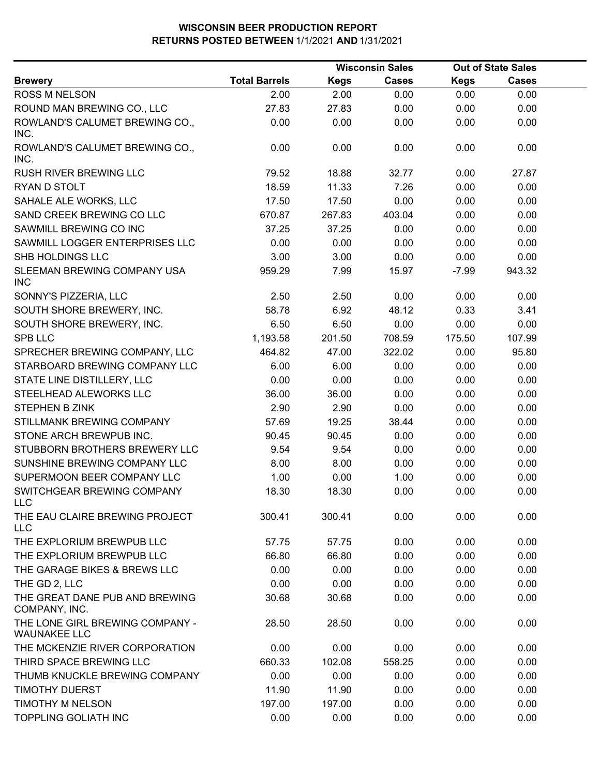|                                                        |                      |             | <b>Wisconsin Sales</b> |             | <b>Out of State Sales</b> |  |
|--------------------------------------------------------|----------------------|-------------|------------------------|-------------|---------------------------|--|
| <b>Brewery</b>                                         | <b>Total Barrels</b> | <b>Kegs</b> | <b>Cases</b>           | <b>Kegs</b> | <b>Cases</b>              |  |
| <b>ROSS M NELSON</b>                                   | 2.00                 | 2.00        | 0.00                   | 0.00        | 0.00                      |  |
| ROUND MAN BREWING CO., LLC                             | 27.83                | 27.83       | 0.00                   | 0.00        | 0.00                      |  |
| ROWLAND'S CALUMET BREWING CO.,<br>INC.                 | 0.00                 | 0.00        | 0.00                   | 0.00        | 0.00                      |  |
| ROWLAND'S CALUMET BREWING CO.,<br>INC.                 | 0.00                 | 0.00        | 0.00                   | 0.00        | 0.00                      |  |
| <b>RUSH RIVER BREWING LLC</b>                          | 79.52                | 18.88       | 32.77                  | 0.00        | 27.87                     |  |
| RYAN D STOLT                                           | 18.59                | 11.33       | 7.26                   | 0.00        | 0.00                      |  |
| SAHALE ALE WORKS, LLC                                  | 17.50                | 17.50       | 0.00                   | 0.00        | 0.00                      |  |
| SAND CREEK BREWING CO LLC                              | 670.87               | 267.83      | 403.04                 | 0.00        | 0.00                      |  |
| SAWMILL BREWING CO INC                                 | 37.25                | 37.25       | 0.00                   | 0.00        | 0.00                      |  |
| SAWMILL LOGGER ENTERPRISES LLC                         | 0.00                 | 0.00        | 0.00                   | 0.00        | 0.00                      |  |
| <b>SHB HOLDINGS LLC</b>                                | 3.00                 | 3.00        | 0.00                   | 0.00        | 0.00                      |  |
| SLEEMAN BREWING COMPANY USA<br><b>INC</b>              | 959.29               | 7.99        | 15.97                  | $-7.99$     | 943.32                    |  |
| SONNY'S PIZZERIA, LLC                                  | 2.50                 | 2.50        | 0.00                   | 0.00        | 0.00                      |  |
| SOUTH SHORE BREWERY, INC.                              | 58.78                | 6.92        | 48.12                  | 0.33        | 3.41                      |  |
| SOUTH SHORE BREWERY, INC.                              | 6.50                 | 6.50        | 0.00                   | 0.00        | 0.00                      |  |
| <b>SPB LLC</b>                                         | 1,193.58             | 201.50      | 708.59                 | 175.50      | 107.99                    |  |
| SPRECHER BREWING COMPANY, LLC                          | 464.82               | 47.00       | 322.02                 | 0.00        | 95.80                     |  |
| STARBOARD BREWING COMPANY LLC                          | 6.00                 | 6.00        | 0.00                   | 0.00        | 0.00                      |  |
| STATE LINE DISTILLERY, LLC                             | 0.00                 | 0.00        | 0.00                   | 0.00        | 0.00                      |  |
| STEELHEAD ALEWORKS LLC                                 | 36.00                | 36.00       | 0.00                   | 0.00        | 0.00                      |  |
| <b>STEPHEN B ZINK</b>                                  | 2.90                 | 2.90        | 0.00                   | 0.00        | 0.00                      |  |
| STILLMANK BREWING COMPANY                              | 57.69                | 19.25       | 38.44                  | 0.00        | 0.00                      |  |
| STONE ARCH BREWPUB INC.                                | 90.45                | 90.45       | 0.00                   | 0.00        | 0.00                      |  |
| STUBBORN BROTHERS BREWERY LLC                          | 9.54                 | 9.54        | 0.00                   | 0.00        | 0.00                      |  |
| SUNSHINE BREWING COMPANY LLC                           | 8.00                 | 8.00        | 0.00                   | 0.00        | 0.00                      |  |
| SUPERMOON BEER COMPANY LLC                             | 1.00                 | 0.00        | 1.00                   | 0.00        | 0.00                      |  |
| SWITCHGEAR BREWING COMPANY<br>LLC                      | 18.30                | 18.30       | 0.00                   | 0.00        | 0.00                      |  |
| THE EAU CLAIRE BREWING PROJECT<br><b>LLC</b>           | 300.41               | 300.41      | 0.00                   | 0.00        | 0.00                      |  |
| THE EXPLORIUM BREWPUB LLC                              | 57.75                | 57.75       | 0.00                   | 0.00        | 0.00                      |  |
| THE EXPLORIUM BREWPUB LLC                              | 66.80                | 66.80       | 0.00                   | 0.00        | 0.00                      |  |
| THE GARAGE BIKES & BREWS LLC                           | 0.00                 | 0.00        | 0.00                   | 0.00        | 0.00                      |  |
| THE GD 2, LLC                                          | 0.00                 | 0.00        | 0.00                   | 0.00        | 0.00                      |  |
| THE GREAT DANE PUB AND BREWING<br>COMPANY, INC.        | 30.68                | 30.68       | 0.00                   | 0.00        | 0.00                      |  |
| THE LONE GIRL BREWING COMPANY -<br><b>WAUNAKEE LLC</b> | 28.50                | 28.50       | 0.00                   | 0.00        | 0.00                      |  |
| THE MCKENZIE RIVER CORPORATION                         | 0.00                 | 0.00        | 0.00                   | 0.00        | 0.00                      |  |
| THIRD SPACE BREWING LLC                                | 660.33               | 102.08      | 558.25                 | 0.00        | 0.00                      |  |
| THUMB KNUCKLE BREWING COMPANY                          | 0.00                 | 0.00        | 0.00                   | 0.00        | 0.00                      |  |
| <b>TIMOTHY DUERST</b>                                  | 11.90                | 11.90       | 0.00                   | 0.00        | 0.00                      |  |
| <b>TIMOTHY M NELSON</b>                                | 197.00               | 197.00      | 0.00                   | 0.00        | 0.00                      |  |
| <b>TOPPLING GOLIATH INC</b>                            | 0.00                 | 0.00        | 0.00                   | 0.00        | 0.00                      |  |
|                                                        |                      |             |                        |             |                           |  |